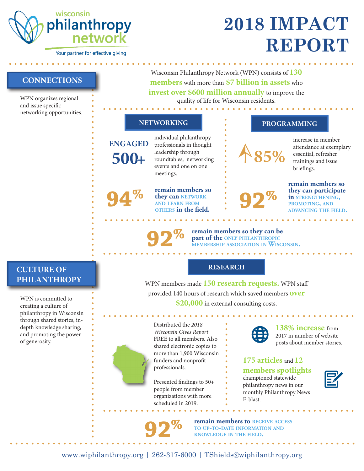

Your partner for effective giving

# **2018 IMPACT REPORT**

**CONNECTIONS**

WPN organizes regional and issue specific networking opportunities.

Wisconsin Philanthropy Network (WPN) consists of **130 members** with more than **\$7 billion in assets** who **invest over \$600 million annually** to improve the quality of life for Wisconsin residents.

## **NETWORKING PROGRAMMING**

**500+**

**%**

**ENGAGED** individual philanthropy professionals in thought leadership through roundtables, networking events and one on one meetings.

> **remain members so they can network and learn from 94 others in the field.**

> > **%**



**%**

increase in member attendance at exemplary essential, refresher trainings and issue briefings.

**remain members so they can participate in PROMOTING, AND advancing the field.**

**92 Po remain members so they can be part of the ONLY PHILANTHROPIC MEMBERSHIP** ASSOCIATION IN WISCONSIN.

#### **RESEARCH**

**PHILANTHROPY** WPN members made **150 research requests.** WPN staff provided 140 hours of research which saved members **over \$20,000** in external consulting costs.

> Distributed the *2018 Wisconsin Gives Report* FREE to all members. Also shared electronic copies to more than 1,900 Wisconsin funders and nonprofit professionals.

Presented findings to 50+ people from member organizations with more scheduled in 2019.

**%**



**138% increase** from 2017 in number of website posts about member stories.

**175 articles** and **12 members spotlights**  championed statewide philanthropy news in our monthly Philanthropy News E-blast.

**remain members to receive access to up-to-date information and 92 knowledge in the field.**

**CULTURE OF**

WPN is committed to creating a culture of philanthropy in Wisconsin through shared stories, indepth knowledge sharing, and promoting the power of generosity.